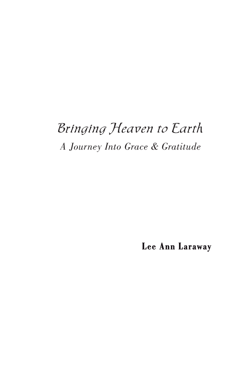# Bringing Heaven to Earth *A Journey Into Grace & Gratitude*

 **Lee Ann Laraway**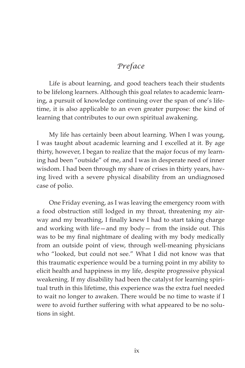### *Preface*

Life is about learning, and good teachers teach their students to be lifelong learners. Although this goal relates to academic learning, a pursuit of knowledge continuing over the span of one's lifetime, it is also applicable to an even greater purpose: the kind of learning that contributes to our own spiritual awakening.

My life has certainly been about learning. When I was young, I was taught about academic learning and I excelled at it. By age thirty, however, I began to realize that the major focus of my learning had been "outside" of me, and I was in desperate need of inner wisdom. I had been through my share of crises in thirty years, having lived with a severe physical disability from an undiagnosed case of polio.

One Friday evening, as I was leaving the emergency room with a food obstruction still lodged in my throat, threatening my airway and my breathing, I finally knew I had to start taking charge and working with life—and my body— from the inside out. This was to be my final nightmare of dealing with my body medically from an outside point of view, through well-meaning physicians who "looked, but could not see." What I did not know was that this traumatic experience would be a turning point in my ability to elicit health and happiness in my life, despite progressive physical weakening. If my disability had been the catalyst for learning spiritual truth in this lifetime, this experience was the extra fuel needed to wait no longer to awaken. There would be no time to waste if I were to avoid further suffering with what appeared to be no solutions in sight.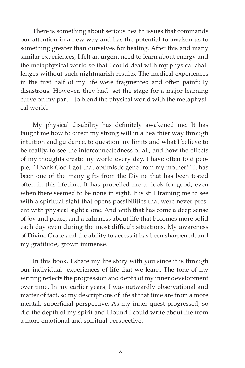There is something about serious health issues that commands our attention in a new way and has the potential to awaken us to something greater than ourselves for healing. After this and many similar experiences, I felt an urgent need to learn about energy and the metaphysical world so that I could deal with my physical challenges without such nightmarish results. The medical experiences in the first half of my life were fragmented and often painfully disastrous. However, they had set the stage for a major learning curve on my part—to blend the physical world with the metaphysical world.

My physical disability has definitely awakened me. It has taught me how to direct my strong will in a healthier way through intuition and guidance, to question my limits and what I believe to be reality, to see the interconnectedness of all, and how the effects of my thoughts create my world every day. I have often told people, "Thank God I got that optimistic gene from my mother!" It has been one of the many gifts from the Divine that has been tested often in this lifetime. It has propelled me to look for good, even when there seemed to be none in sight. It is still training me to see with a spiritual sight that opens possibilities that were never present with physical sight alone. And with that has come a deep sense of joy and peace, and a calmness about life that becomes more solid each day even during the most difficult situations. My awareness of Divine Grace and the ability to access it has been sharpened, and my gratitude, grown immense.

In this book, I share my life story with you since it is through our individual experiences of life that we learn. The tone of my writing reflects the progression and depth of my inner development over time. In my earlier years, I was outwardly observational and matter of fact, so my descriptions of life at that time are from a more mental, superficial perspective. As my inner quest progressed, so did the depth of my spirit and I found I could write about life from a more emotional and spiritual perspective.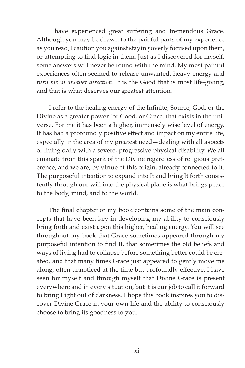I have experienced great suffering and tremendous Grace. Although you may be drawn to the painful parts of my experience as you read, I caution you against staying overly focused upon them, or attempting to find logic in them. Just as I discovered for myself, some answers will never be found with the mind. My most painful experiences often seemed to release unwanted, heavy energy and *turn me in another direction*. It is the Good that is most life-giving, and that is what deserves our greatest attention.

I refer to the healing energy of the Infinite, Source, God, or the Divine as a greater power for Good, or Grace, that exists in the universe. For me it has been a higher, immensely wise level of energy. It has had a profoundly positive effect and impact on my entire life, especially in the area of my greatest need—dealing with all aspects of living daily with a severe, progressive physical disability. We all emanate from this spark of the Divine regardless of religious preference, and we are, by virtue of this origin, already connected to It. The purposeful intention to expand into It and bring It forth consistently through our will into the physical plane is what brings peace to the body, mind, and to the world.

The final chapter of my book contains some of the main concepts that have been key in developing my ability to consciously bring forth and exist upon this higher, healing energy. You will see throughout my book that Grace sometimes appeared through my purposeful intention to find It, that sometimes the old beliefs and ways of living had to collapse before something better could be created, and that many times Grace just appeared to gently move me along, often unnoticed at the time but profoundly effective. I have seen for myself and through myself that Divine Grace is present everywhere and in every situation, but it is our job to call it forward to bring Light out of darkness. I hope this book inspires you to discover Divine Grace in your own life and the ability to consciously choose to bring its goodness to you.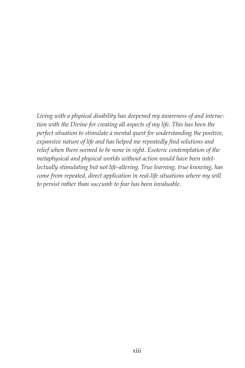*Living with a physical disability has deepened my awareness of and interaction with the Divine for creating all aspects of my life. This has been the perfect situation to stimulate a mental quest for understanding the positive, expansive nature of life and has helped me repeatedly find solutions and relief when there seemed to be none in sight. Esoteric contemplation of the metaphysical and physical worlds without action would have been intellectually stimulating but not life-altering. True learning, true knowing, has come from repeated, direct application in real-life situations where my will to persist rather than succumb to fear has been invaluable.*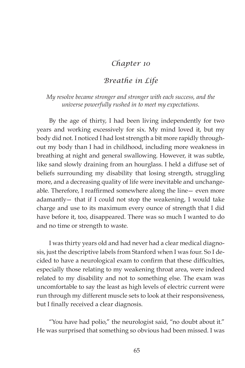### *Chapter 10*

## *Breathe in Life*

#### *My resolve became stronger and stronger with each success, and the universe powerfully rushed in to meet my expectations.*

By the age of thirty, I had been living independently for two years and working excessively for six. My mind loved it, but my body did not. I noticed I had lost strength a bit more rapidly throughout my body than I had in childhood, including more weakness in breathing at night and general swallowing. However, it was subtle, like sand slowly draining from an hourglass. I held a diffuse set of beliefs surrounding my disability that losing strength, struggling more, and a decreasing quality of life were inevitable and unchangeable. Therefore, I reaffirmed somewhere along the line— even more adamantly— that if I could not stop the weakening, I would take charge and use to its maximum every ounce of strength that I did have before it, too, disappeared. There was so much I wanted to do and no time or strength to waste.

I was thirty years old and had never had a clear medical diagnosis, just the descriptive labels from Stanford when I was four. So I decided to have a neurological exam to confirm that these difficulties, especially those relating to my weakening throat area, were indeed related to my disability and not to something else. The exam was uncomfortable to say the least as high levels of electric current were run through my different muscle sets to look at their responsiveness, but I finally received a clear diagnosis.

"You have had polio," the neurologist said, "no doubt about it." He was surprised that something so obvious had been missed. I was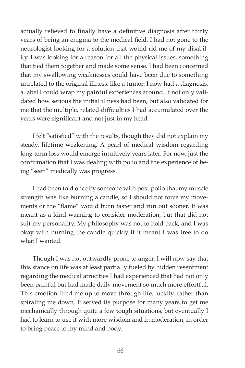actually relieved to finally have a definitive diagnosis after thirty years of being an enigma to the medical field. I had not gone to the neurologist looking for a solution that would rid me of my disability. I was looking for a reason for all the physical issues, something that tied them together and made some sense. I had been concerned that my swallowing weaknesses could have been due to something unrelated to the original illness, like a tumor. I now had a diagnosis, a label I could wrap my painful experiences around. It not only validated how serious the initial illness had been, but also validated for me that the multiple, related difficulties I had accumulated over the years were significant and not just in my head.

I felt "satisfied" with the results, though they did not explain my steady, lifetime weakening. A pearl of medical wisdom regarding long-term loss would emerge intuitively years later. For now, just the confirmation that I was dealing with polio and the experience of being "seen" medically was progress.

I had been told once by someone with post-polio that my muscle strength was like burning a candle, so I should not force my movements or the "flame" would burn faster and run out sooner. It was meant as a kind warning to consider moderation, but that did not suit my personality. My philosophy was not to hold back, and I was okay with burning the candle quickly if it meant I was free to do what I wanted.

Though I was not outwardly prone to anger, I will now say that this stance on life was at least partially fueled by hidden resentment regarding the medical atrocities I had experienced that had not only been painful but had made daily movement so much more effortful. This emotion fired me up to move through life, luckily, rather than spiraling me down. It served its purpose for many years to get me mechanically through quite a few tough situations, but eventually I had to learn to use it with more wisdom and in moderation, in order to bring peace to my mind and body.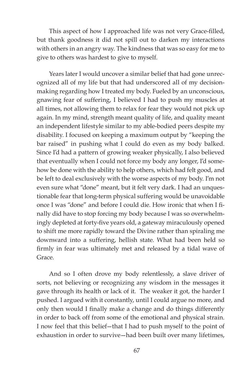This aspect of how I approached life was not very Grace-filled, but thank goodness it did not spill out to darken my interactions with others in an angry way. The kindness that was so easy for me to give to others was hardest to give to myself.

Years later I would uncover a similar belief that had gone unrecognized all of my life but that had underscored all of my decisionmaking regarding how I treated my body. Fueled by an unconscious, gnawing fear of suffering, I believed I had to push my muscles at all times, not allowing them to relax for fear they would not pick up again. In my mind, strength meant quality of life, and quality meant an independent lifestyle similar to my able-bodied peers despite my disability. I focused on keeping a maximum output by "keeping the bar raised" in pushing what I could do even as my body balked. Since I'd had a pattern of growing weaker physically, I also believed that eventually when I could not force my body any longer, I'd somehow be done with the ability to help others, which had felt good, and be left to deal exclusively with the worse aspects of my body. I'm not even sure what "done" meant, but it felt very dark. I had an unquestionable fear that long-term physical suffering would be unavoidable once I was "done" and before I could die. How ironic that when I finally did have to stop forcing my body because I was so overwhelmingly depleted at forty-five years old, a gateway miraculously opened to shift me more rapidly toward the Divine rather than spiraling me downward into a suffering, hellish state. What had been held so firmly in fear was ultimately met and released by a tidal wave of Grace.

And so I often drove my body relentlessly, a slave driver of sorts, not believing or recognizing any wisdom in the messages it gave through its health or lack of it. The weaker it got, the harder I pushed. I argued with it constantly, until I could argue no more, and only then would I finally make a change and do things differently in order to back off from some of the emotional and physical strain. I now feel that this belief—that I had to push myself to the point of exhaustion in order to survive—had been built over many lifetimes,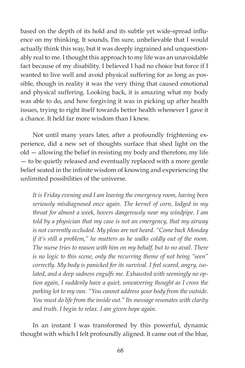based on the depth of its hold and its subtle yet wide-spread influence on my thinking. It sounds, I'm sure, unbelievable that I would actually think this way, but it was deeply ingrained and unquestionably real to me. I thought this approach to my life was an unavoidable fact because of my disability. I believed I had no choice but force if I wanted to live well and avoid physical suffering for as long as possible, though in reality it was the very thing that caused emotional and physical suffering. Looking back, it is amazing what my body was able to do, and how forgiving it was in picking up after health issues, trying to right itself towards better health whenever I gave it a chance. It held far more wisdom than I knew.

Not until many years later, after a profoundly frightening experience, did a new set of thoughts surface that shed light on the old — allowing the belief in resisting my body and therefore, my life — to be quietly released and eventually replaced with a more gentle belief seated in the infinite wisdom of knowing and experiencing the unlimited possibilities of the universe.

*It is Friday evening and I am leaving the emergency room, having been seriously misdiagnosed once again. The kernel of corn, lodged in my throat for almost a week, hovers dangerously near my windpipe. I am told by a physician that my case is not an emergency, that my airway is not currently occluded. My pleas are not heard. "Come back Monday if it's still a problem," he mutters as he walks coldly out of the room. The nurse tries to reason with him on my behalf, but to no avail. There is no logic to this scene, only the recurring theme of not being "seen" correctly. My body is panicked for its survival. I feel scared, angry, isolated, and a deep sadness engulfs me. Exhausted with seemingly no option again, I suddenly have a quiet, unwavering thought as I cross the parking lot to my van. "You cannot address your body from the outside. You must do life from the inside out." Its message resonates with clarity and truth. I begin to relax. I am given hope again.* 

In an instant I was transformed by this powerful, dynamic thought with which I felt profoundly aligned. It came out of the blue,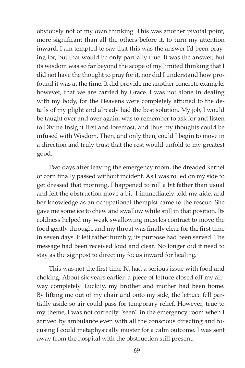obviously not of my own thinking. This was another pivotal point, more significant than all the others before it, to turn my attention inward. I am tempted to say that this was the answer I'd been praying for, but that would be only partially true. It was the answer, but its wisdom was so far beyond the scope of my limited thinking that I did not have the thought to pray for it, nor did I understand how profound it was at the time. It did provide me another concrete example, however, that we are carried by Grace. I was not alone in dealing with my body, for the Heavens were completely attuned to the details of my plight and already had the best solution. My job, I would be taught over and over again, was to remember to ask for and listen to Divine Insight first and foremost, and thus my thoughts could be infused with Wisdom. Then, and only then, could I begin to move in a direction and truly trust that the rest would unfold to my greatest good.

Two days after leaving the emergency room, the dreaded kernel of corn finally passed without incident. As I was rolled on my side to get dressed that morning, I happened to roll a bit father than usual and felt the obstruction move a bit. I immediately told my aide, and her knowledge as an occupational therapist came to the rescue. She gave me some ice to chew and swallow while still in that position. Its coldness helped my weak swallowing muscles contract to move the food gently through, and my throat was finally clear for the first time in seven days. It left rather humbly; its purpose had been served. The message had been received loud and clear. No longer did it need to stay as the signpost to direct my focus inward for healing.

This was not the first time I'd had a serious issue with food and choking. About six years earlier, a piece of lettuce closed off my airway completely. Luckily, my brother and mother had been home. By lifting me out of my chair and onto my side, the lettuce fell partially aside so air could pass for temporary relief. However, true to my theme, I was not correctly "seen" in the emergency room when I arrived by ambulance even with all the conscious directing and focusing I could metaphysically muster for a calm outcome. I was sent away from the hospital with the obstruction still present.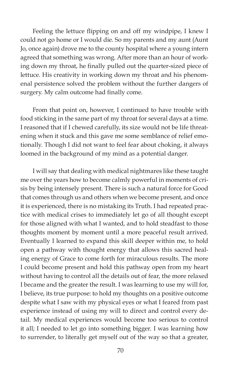Feeling the lettuce flipping on and off my windpipe, I knew I could not go home or I would die. So my parents and my aunt (Aunt Jo, once again) drove me to the county hospital where a young intern agreed that something was wrong. After more than an hour of working down my throat, he finally pulled out the quarter-sized piece of lettuce. His creativity in working down my throat and his phenomenal persistence solved the problem without the further dangers of surgery. My calm outcome had finally come.

From that point on, however, I continued to have trouble with food sticking in the same part of my throat for several days at a time. I reasoned that if I chewed carefully, its size would not be life threatening when it stuck and this gave me some semblance of relief emotionally. Though I did not want to feel fear about choking, it always loomed in the background of my mind as a potential danger.

I will say that dealing with medical nightmares like these taught me over the years how to become calmly powerful in moments of crisis by being intensely present. There is such a natural force for Good that comes through us and others when we become present, and once it is experienced, there is no mistaking its Truth. I had repeated practice with medical crises to immediately let go of all thought except for those aligned with what I wanted, and to hold steadfast to those thoughts moment by moment until a more peaceful result arrived. Eventually I learned to expand this skill deeper within me, to hold open a pathway with thought energy that allows this sacred healing energy of Grace to come forth for miraculous results. The more I could become present and hold this pathway open from my heart without having to control all the details out of fear, the more relaxed I became and the greater the result. I was learning to use my will for, I believe, its true purpose: to hold my thoughts on a positive outcome despite what I saw with my physical eyes or what I feared from past experience instead of using my will to direct and control every detail. My medical experiences would become too serious to control it all; I needed to let go into something bigger. I was learning how to surrender, to literally get myself out of the way so that a greater,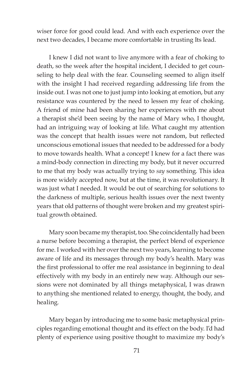wiser force for good could lead. And with each experience over the next two decades, I became more comfortable in trusting Its lead.

I knew I did not want to live anymore with a fear of choking to death, so the week after the hospital incident, I decided to get counseling to help deal with the fear. Counseling seemed to align itself with the insight I had received regarding addressing life from the inside out. I was not one to just jump into looking at emotion, but any resistance was countered by the need to lessen my fear of choking. A friend of mine had been sharing her experiences with me about a therapist she'd been seeing by the name of Mary who, I thought, had an intriguing way of looking at life. What caught my attention was the concept that health issues were not random, but reflected unconscious emotional issues that needed to be addressed for a body to move towards health. What a concept! I knew for a fact there was a mind-body connection in directing my body, but it never occurred to me that my body was actually trying to *say* something. This idea is more widely accepted now, but at the time, it was revolutionary. It was just what I needed. It would be out of searching for solutions to the darkness of multiple, serious health issues over the next twenty years that old patterns of thought were broken and my greatest spiritual growth obtained.

Mary soon became my therapist, too. She coincidentally had been a nurse before becoming a therapist, the perfect blend of experience for me. I worked with her over the next two years, learning to become aware of life and its messages through my body's health. Mary was the first professional to offer me real assistance in beginning to deal effectively with my body in an entirely new way. Although our sessions were not dominated by all things metaphysical, I was drawn to anything she mentioned related to energy, thought, the body, and healing.

Mary began by introducing me to some basic metaphysical principles regarding emotional thought and its effect on the body. I'd had plenty of experience using positive thought to maximize my body's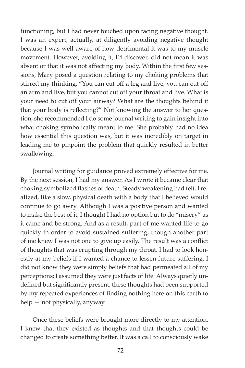functioning, but I had never touched upon facing negative thought. I was an expert, actually, at diligently avoiding negative thought because I was well aware of how detrimental it was to my muscle movement. However, avoiding it, I'd discover, did not mean it was absent or that it was not affecting my body. Within the first few sessions, Mary posed a question relating to my choking problems that stirred my thinking. "You can cut off a leg and live, you can cut off an arm and live, but you cannot cut off your throat and live. What is your need to cut off your airway? What are the thoughts behind it that your body is reflecting?" Not knowing the answer to her question, she recommended I do some journal writing to gain insight into what choking symbolically meant to me. She probably had no idea how essential this question was, but it was incredibly on target in leading me to pinpoint the problem that quickly resulted in better swallowing.

Journal writing for guidance proved extremely effective for me. By the next session, I had my answer. As I wrote it became clear that choking symbolized flashes of death. Steady weakening had felt, I realized, like a slow, physical death with a body that I believed would continue to go awry. Although I was a positive person and wanted to make the best of it, I thought I had no option but to do "misery" as it came and be strong. And as a result, part of me wanted life to go quickly in order to avoid sustained suffering, though another part of me knew I was not one to give up easily. The result was a conflict of thoughts that was erupting through my throat. I had to look honestly at my beliefs if I wanted a chance to lessen future suffering. I did not know they were simply beliefs that had permeated all of my perceptions; I assumed they were just facts of life. Always quietly undefined but significantly present, these thoughts had been supported by my repeated experiences of finding nothing here on this earth to help — not physically, anyway.

Once these beliefs were brought more directly to my attention, I knew that they existed as thoughts and that thoughts could be changed to create something better. It was a call to consciously wake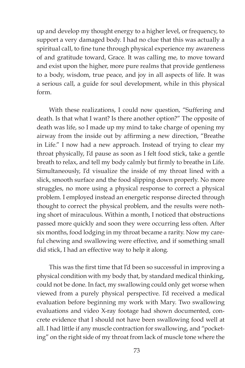up and develop my thought energy to a higher level, or frequency, to support a very damaged body. I had no clue that this was actually a spiritual call, to fine tune through physical experience my awareness of and gratitude toward, Grace. It was calling me, to move toward and exist upon the higher, more pure realms that provide gentleness to a body, wisdom, true peace, and joy in all aspects of life. It was a serious call, a guide for soul development, while in this physical form.

With these realizations, I could now question, "Suffering and death. Is that what I want? Is there another option?" The opposite of death was life, so I made up my mind to take charge of opening my airway from the inside out by affirming a new direction, "Breathe in Life." I now had a new approach. Instead of trying to clear my throat physically, I'd pause as soon as I felt food stick, take a gentle breath to relax, and tell my body calmly but firmly to breathe in Life. Simultaneously, I'd visualize the inside of my throat lined with a slick, smooth surface and the food slipping down properly. No more struggles, no more using a physical response to correct a physical problem. I employed instead an energetic response directed through thought to correct the physical problem, and the results were nothing short of miraculous. Within a month, I noticed that obstructions passed more quickly and soon they were occurring less often. After six months, food lodging in my throat became a rarity. Now my careful chewing and swallowing were effective, and if something small did stick, I had an effective way to help it along.

This was the first time that I'd been so successful in improving a physical condition with my body that, by standard medical thinking, could not be done. In fact, my swallowing could only get worse when viewed from a purely physical perspective. I'd received a medical evaluation before beginning my work with Mary. Two swallowing evaluations and video X-ray footage had shown documented, concrete evidence that I should not have been swallowing food well at all. I had little if any muscle contraction for swallowing, and "pocketing" on the right side of my throat from lack of muscle tone where the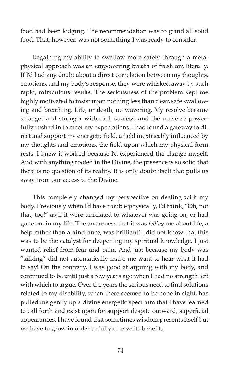food had been lodging. The recommendation was to grind all solid food. That, however, was not something I was ready to consider.

Regaining my ability to swallow more safely through a metaphysical approach was an empowering breath of fresh air, literally. If I'd had any doubt about a direct correlation between my thoughts, emotions, and my body's response, they were whisked away by such rapid, miraculous results. The seriousness of the problem kept me highly motivated to insist upon nothing less than clear, safe swallowing and breathing. Life, or death, no wavering. My resolve became stronger and stronger with each success, and the universe powerfully rushed in to meet my expectations. I had found a gateway to direct and support my energetic field, a field inextricably influenced by my thoughts and emotions, the field upon which my physical form rests. I knew it worked because I'd experienced the change myself. And with anything rooted in the Divine, the presence is so solid that there is no question of its reality. It is only doubt itself that pulls us away from our access to the Divine.

This completely changed my perspective on dealing with my body. Previously when I'd have trouble physically, I'd think, "Oh, not that, too!" as if it were unrelated to whatever was going on, or had gone on, in my life. The awareness that it was *telling* me about life, a help rather than a hindrance, was brilliant! I did not know that this was to be the catalyst for deepening my spiritual knowledge. I just wanted relief from fear and pain. And just because my body was "talking" did not automatically make me want to hear what it had to say! On the contrary, I was good at arguing with my body, and continued to be until just a few years ago when I had no strength left with which to argue. Over the years the serious need to find solutions related to my disability, when there seemed to be none in sight, has pulled me gently up a divine energetic spectrum that I have learned to call forth and exist upon for support despite outward, superficial appearances. I have found that sometimes wisdom presents itself but we have to grow in order to fully receive its benefits.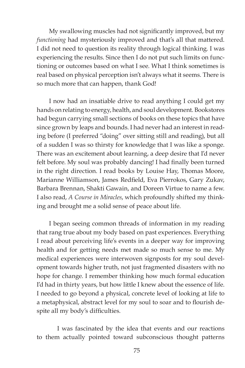My swallowing muscles had not significantly improved, but my *functioning* had mysteriously improved and that's all that mattered. I did not need to question its reality through logical thinking. I was experiencing the results. Since then I do not put such limits on functioning or outcomes based on what I see. What I think sometimes is real based on physical perception isn't always what it seems. There is so much more that can happen, thank God!

I now had an insatiable drive to read anything I could get my hands on relating to energy, health, and soul development. Bookstores had begun carrying small sections of books on these topics that have since grown by leaps and bounds. I had never had an interest in reading before (I preferred "doing" over sitting still and reading), but all of a sudden I was so thirsty for knowledge that I was like a sponge. There was an excitement about learning, a deep desire that I'd never felt before. My soul was probably dancing! I had finally been turned in the right direction. I read books by Louise Hay, Thomas Moore, Marianne Williamson, James Redfield, Eva Pierrokos, Gary Zukav, Barbara Brennan, Shakti Gawain, and Doreen Virtue to name a few. I also read, *A Course in Miracles*, which profoundly shifted my thinking and brought me a solid sense of peace about life.

I began seeing common threads of information in my reading that rang true about my body based on past experiences. Everything I read about perceiving life's events in a deeper way for improving health and for getting needs met made so much sense to me. My medical experiences were interwoven signposts for my soul development towards higher truth, not just fragmented disasters with no hope for change. I remember thinking how much formal education I'd had in thirty years, but how little I knew about the essence of life. I needed to go beyond a physical, concrete level of looking at life to a metaphysical, abstract level for my soul to soar and to flourish despite all my body's difficulties.

I was fascinated by the idea that events and our reactions to them actually pointed toward subconscious thought patterns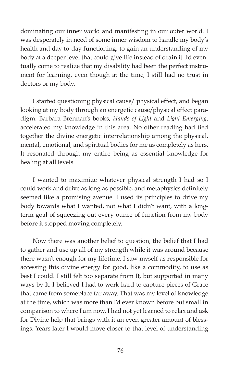dominating our inner world and manifesting in our outer world. I was desperately in need of some inner wisdom to handle my body's health and day-to-day functioning, to gain an understanding of my body at a deeper level that could give life instead of drain it. I'd eventually come to realize that my disability had been the perfect instrument for learning, even though at the time, I still had no trust in doctors or my body.

I started questioning physical cause/ physical effect, and began looking at my body through an energetic cause/physical effect paradigm. Barbara Brennan's books, *Hands of Light* and *Light Emerging*, accelerated my knowledge in this area. No other reading had tied together the divine energetic interrelationship among the physical, mental, emotional, and spiritual bodies for me as completely as hers. It resonated through my entire being as essential knowledge for healing at all levels.

I wanted to maximize whatever physical strength I had so I could work and drive as long as possible, and metaphysics definitely seemed like a promising avenue. I used its principles to drive my body towards what I wanted, not what I didn't want, with a longterm goal of squeezing out every ounce of function from my body before it stopped moving completely.

Now there was another belief to question, the belief that I had to gather and use up all of my strength while it was around because there wasn't enough for my lifetime. I saw myself as responsible for accessing this divine energy for good, like a commodity, to use as best I could. I still felt too separate from It, but supported in many ways by It. I believed I had to work hard to capture pieces of Grace that came from someplace far away. That was my level of knowledge at the time, which was more than I'd ever known before but small in comparison to where I am now. I had not yet learned to relax and ask for Divine help that brings with it an even greater amount of blessings. Years later I would move closer to that level of understanding